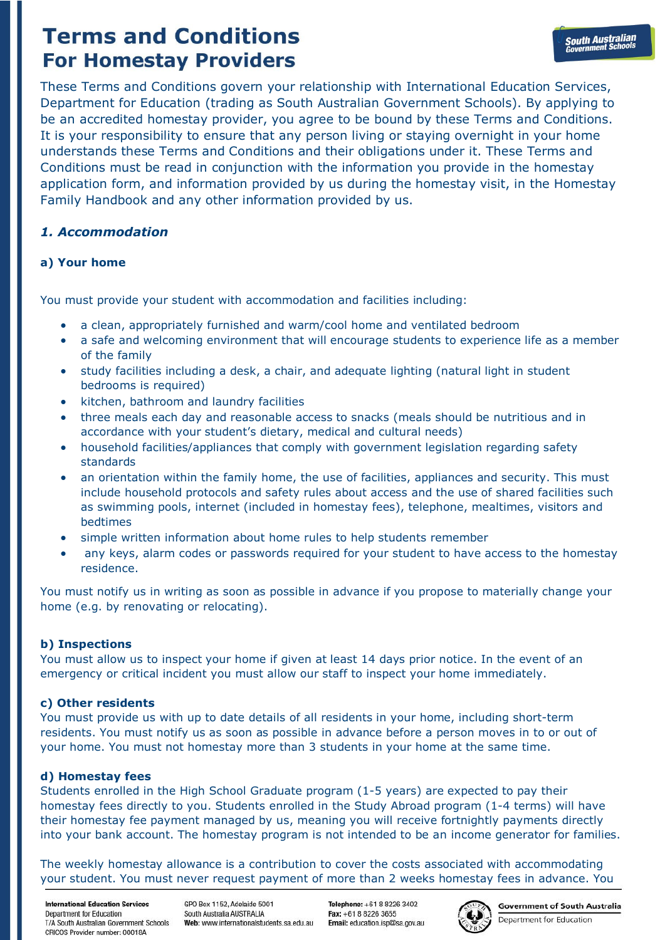These Terms and Conditions govern your relationship with International Education Services, Department for Education (trading as South Australian Government Schools). By applying to be an accredited homestay provider, you agree to be bound by these Terms and Conditions. It is your responsibility to ensure that any person living or staying overnight in your home understands these Terms and Conditions and their obligations under it. These Terms and Conditions must be read in conjunction with the information you provide in the homestay application form, and information provided by us during the homestay visit, in the Homestay Family Handbook and any other information provided by us.

# *1. Accommodation*

# **a) Your home**

You must provide your student with accommodation and facilities including:

- a clean, appropriately furnished and warm/cool home and ventilated bedroom
- a safe and welcoming environment that will encourage students to experience life as a member of the family
- study facilities including a desk, a chair, and adequate lighting (natural light in student bedrooms is required)
- kitchen, bathroom and laundry facilities
- three meals each day and reasonable access to snacks (meals should be nutritious and in accordance with your student's dietary, medical and cultural needs)
- household facilities/appliances that comply with government legislation regarding safety standards
- an orientation within the family home, the use of facilities, appliances and security. This must include household protocols and safety rules about access and the use of shared facilities such as swimming pools, internet (included in homestay fees), telephone, mealtimes, visitors and bedtimes
- simple written information about home rules to help students remember
- any keys, alarm codes or passwords required for your student to have access to the homestay residence.

You must notify us in writing as soon as possible in advance if you propose to materially change your home (e.g. by renovating or relocating).

## **b) Inspections**

You must allow us to inspect your home if given at least 14 days prior notice. In the event of an emergency or critical incident you must allow our staff to inspect your home immediately.

## **c) Other residents**

You must provide us with up to date details of all residents in your home, including short-term residents. You must notify us as soon as possible in advance before a person moves in to or out of your home. You must not homestay more than 3 students in your home at the same time.

## **d) Homestay fees**

Students enrolled in the High School Graduate program (1-5 years) are expected to pay their homestay fees directly to you. Students enrolled in the Study Abroad program (1-4 terms) will have their homestay fee payment managed by us, meaning you will receive fortnightly payments directly into your bank account. The homestay program is not intended to be an income generator for families.

The weekly homestay allowance is a contribution to cover the costs associated with accommodating your student. You must never request payment of more than 2 weeks homestay fees in advance. You

**International Education Services** Denartment for Education T/A South Australian Government Schools CRICOS Provider number: 00018A

GPO Box 1152 Adelaide 5001 South Australia AUSTRALIA Web: www.internationalstudents.sa.edu.au

Telenhone: +61 8 8226 3402 Fax: +61.8.8226.3655 Email: education.isp@sa.gov.au



**Government of South Australia** Department for Education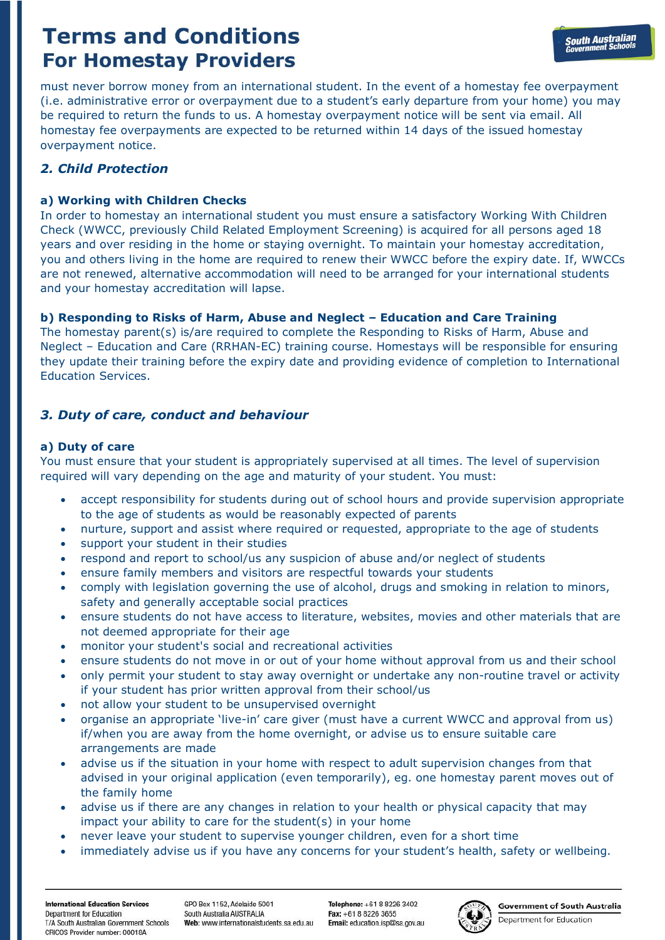must never borrow money from an international student. In the event of a homestay fee overpayment (i.e. administrative error or overpayment due to a student's early departure from your home) you may be required to return the funds to us. A homestay overpayment notice will be sent via email. All homestay fee overpayments are expected to be returned within 14 days of the issued homestay overpayment notice.

# *2. Child Protection*

# **a) Working with Children Checks**

In order to homestay an international student you must ensure a satisfactory Working With Children Check (WWCC, previously Child Related Employment Screening) is acquired for all persons aged 18 years and over residing in the home or staying overnight. To maintain your homestay accreditation, you and others living in the home are required to renew their WWCC before the expiry date. If, WWCCs are not renewed, alternative accommodation will need to be arranged for your international students and your homestay accreditation will lapse.

# **b) Responding to Risks of Harm, Abuse and Neglect – Education and Care Training**

The homestay parent(s) is/are required to complete the Responding to Risks of Harm, Abuse and Neglect – Education and Care (RRHAN-EC) training course. Homestays will be responsible for ensuring they update their training before the expiry date and providing evidence of completion to International Education Services.

# *3. Duty of care, conduct and behaviour*

# **a) Duty of care**

You must ensure that your student is appropriately supervised at all times. The level of supervision required will vary depending on the age and maturity of your student. You must:

- accept responsibility for students during out of school hours and provide supervision appropriate to the age of students as would be reasonably expected of parents
- nurture, support and assist where required or requested, appropriate to the age of students
- support your student in their studies
- respond and report to school/us any suspicion of abuse and/or neglect of students
- ensure family members and visitors are respectful towards your students
- comply with legislation governing the use of alcohol, drugs and smoking in relation to minors, safety and generally acceptable social practices
- ensure students do not have access to literature, websites, movies and other materials that are not deemed appropriate for their age
- monitor your student's social and recreational activities
- ensure students do not move in or out of your home without approval from us and their school
- only permit your student to stay away overnight or undertake any non-routine travel or activity if your student has prior written approval from their school/us
- not allow your student to be unsupervised overnight
- organise an appropriate 'live-in' care giver (must have a current WWCC and approval from us) if/when you are away from the home overnight, or advise us to ensure suitable care arrangements are made
- advise us if the situation in your home with respect to adult supervision changes from that advised in your original application (even temporarily), eg. one homestay parent moves out of the family home
- advise us if there are any changes in relation to your health or physical capacity that may impact your ability to care for the student(s) in your home
- never leave your student to supervise younger children, even for a short time
- immediately advise us if you have any concerns for your student's health, safety or wellbeing.

Telenhone: +61 8 8226 3402 Fax: +61.8.8226.3655 Email: education.isp@sa.gov.au

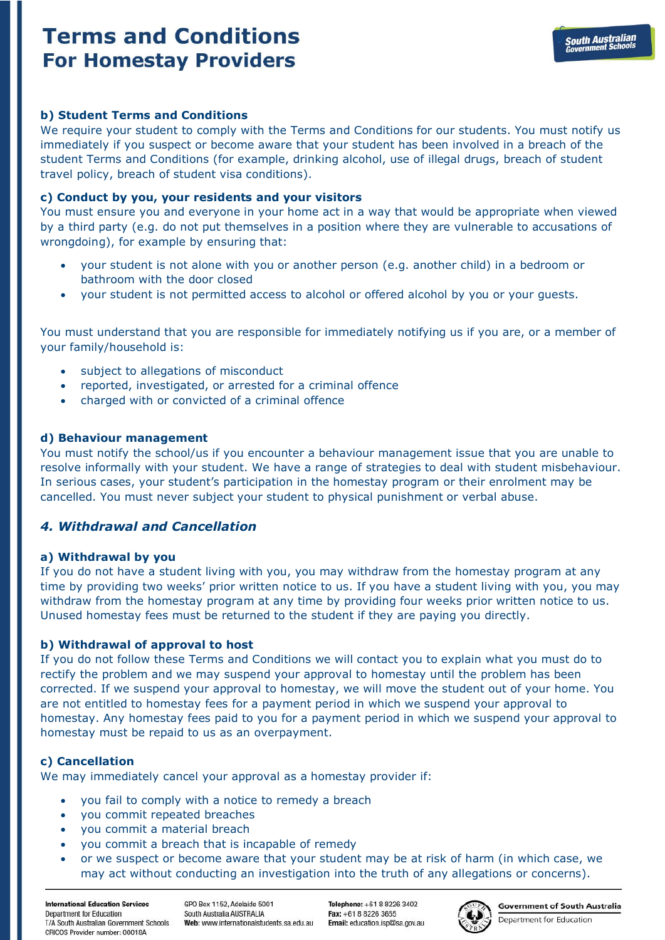## **b) Student Terms and Conditions**

We require your student to comply with the Terms and Conditions for our students. You must notify us immediately if you suspect or become aware that your student has been involved in a breach of the student Terms and Conditions (for example, drinking alcohol, use of illegal drugs, breach of student travel policy, breach of student visa conditions).

### **c) Conduct by you, your residents and your visitors**

You must ensure you and everyone in your home act in a way that would be appropriate when viewed by a third party (e.g. do not put themselves in a position where they are vulnerable to accusations of wrongdoing), for example by ensuring that:

- your student is not alone with you or another person (e.g. another child) in a bedroom or bathroom with the door closed
- your student is not permitted access to alcohol or offered alcohol by you or your guests.

You must understand that you are responsible for immediately notifying us if you are, or a member of your family/household is:

- subject to allegations of misconduct
- reported, investigated, or arrested for a criminal offence
- charged with or convicted of a criminal offence

### **d) Behaviour management**

You must notify the school/us if you encounter a behaviour management issue that you are unable to resolve informally with your student. We have a range of strategies to deal with student misbehaviour. In serious cases, your student's participation in the homestay program or their enrolment may be cancelled. You must never subject your student to physical punishment or verbal abuse.

## *4. Withdrawal and Cancellation*

#### **a) Withdrawal by you**

If you do not have a student living with you, you may withdraw from the homestay program at any time by providing two weeks' prior written notice to us. If you have a student living with you, you may withdraw from the homestay program at any time by providing four weeks prior written notice to us. Unused homestay fees must be returned to the student if they are paying you directly.

#### **b) Withdrawal of approval to host**

If you do not follow these Terms and Conditions we will contact you to explain what you must do to rectify the problem and we may suspend your approval to homestay until the problem has been corrected. If we suspend your approval to homestay, we will move the student out of your home. You are not entitled to homestay fees for a payment period in which we suspend your approval to homestay. Any homestay fees paid to you for a payment period in which we suspend your approval to homestay must be repaid to us as an overpayment.

## **c) Cancellation**

We may immediately cancel your approval as a homestay provider if:

- you fail to comply with a notice to remedy a breach
- you commit repeated breaches
- you commit a material breach
- you commit a breach that is incapable of remedy
- or we suspect or become aware that your student may be at risk of harm (in which case, we may act without conducting an investigation into the truth of any allegations or concerns).

**International Education Services** Denartment for Education T/A South Australian Government Schools CRICOS Provider number: 00018A

GPO Box 1152 Adelaide 5001 South Australia AUSTRALIA Web: www.internationalstudents.sa.edu.au

Telenhone: +61 8 8226 3402 Fax: +61.8.8226.3655 Email: education.isp@sa.gov.au



**Government of South Australia** 

Department for Education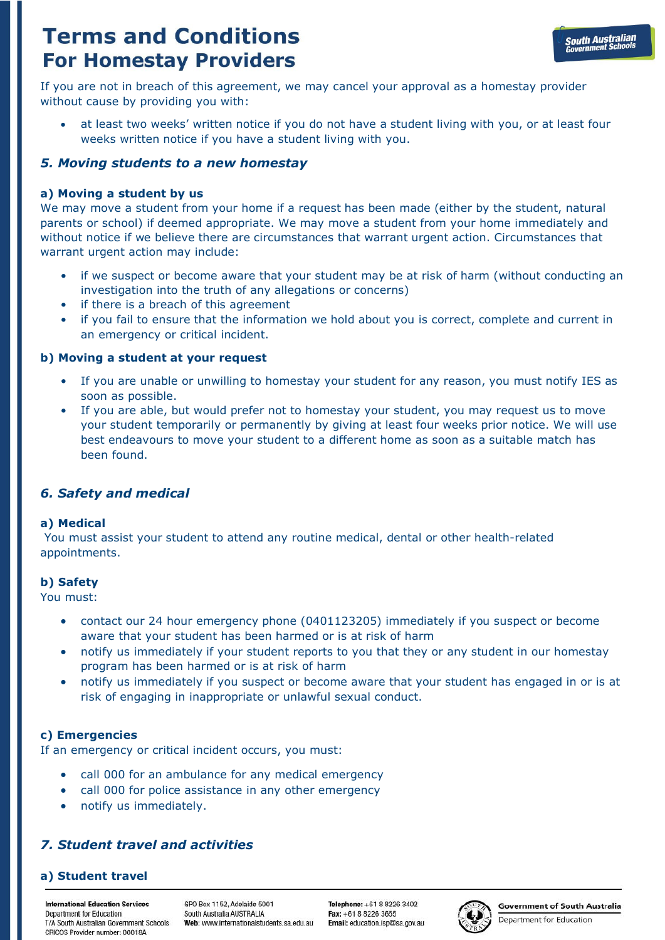If you are not in breach of this agreement, we may cancel your approval as a homestay provider without cause by providing you with:

• at least two weeks' written notice if you do not have a student living with you, or at least four weeks written notice if you have a student living with you.

# *5. Moving students to a new homestay*

## **a) Moving a student by us**

We may move a student from your home if a request has been made (either by the student, natural parents or school) if deemed appropriate. We may move a student from your home immediately and without notice if we believe there are circumstances that warrant urgent action. Circumstances that warrant urgent action may include:

- if we suspect or become aware that your student may be at risk of harm (without conducting an investigation into the truth of any allegations or concerns)
- if there is a breach of this agreement
- if you fail to ensure that the information we hold about you is correct, complete and current in an emergency or critical incident.

## **b) Moving a student at your request**

- If you are unable or unwilling to homestay your student for any reason, you must notify IES as soon as possible.
- If you are able, but would prefer not to homestay your student, you may request us to move your student temporarily or permanently by giving at least four weeks prior notice. We will use best endeavours to move your student to a different home as soon as a suitable match has been found.

## *6. Safety and medical*

## **a) Medical**

You must assist your student to attend any routine medical, dental or other health-related appointments.

## **b) Safety**

You must:

- contact our 24 hour emergency phone (0401123205) immediately if you suspect or become aware that your student has been harmed or is at risk of harm
- notify us immediately if your student reports to you that they or any student in our homestay program has been harmed or is at risk of harm
- notify us immediately if you suspect or become aware that your student has engaged in or is at risk of engaging in inappropriate or unlawful sexual conduct.

## **c) Emergencies**

If an emergency or critical incident occurs, you must:

- call 000 for an ambulance for any medical emergency
- call 000 for police assistance in any other emergency
- notify us immediately.

# *7. Student travel and activities*

## **a) Student travel**

**International Education Services** Denartment for Education T/A South Australian Government Schools CRICOS Provider number: 00018A

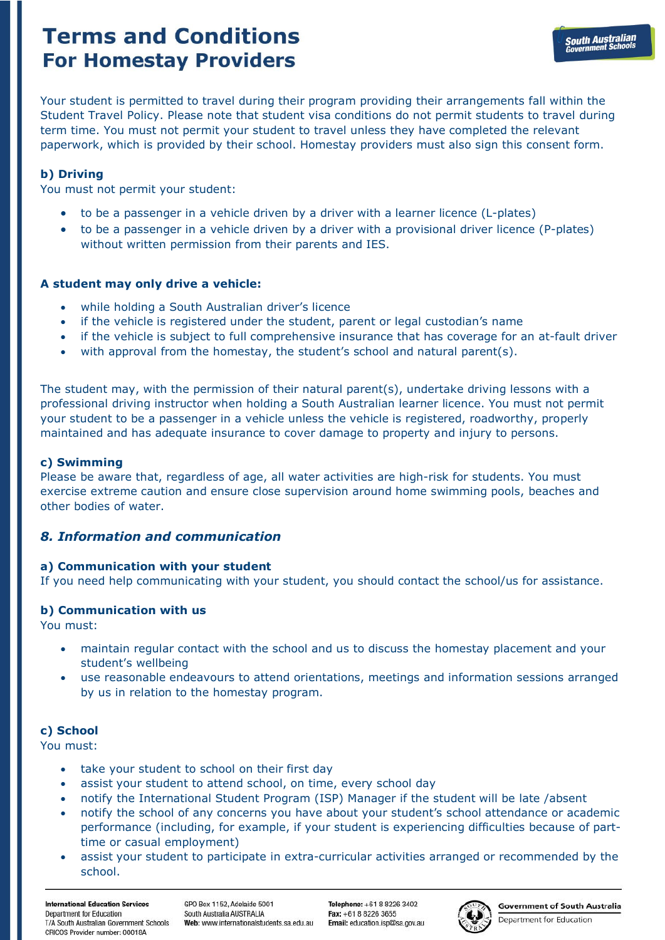Your student is permitted to travel during their program providing their arrangements fall within the Student Travel Policy. Please note that student visa conditions do not permit students to travel during term time. You must not permit your student to travel unless they have completed the relevant paperwork, which is provided by their school. Homestay providers must also sign this consent form.

## **b) Driving**

You must not permit your student:

- to be a passenger in a vehicle driven by a driver with a learner licence (L-plates)
- to be a passenger in a vehicle driven by a driver with a provisional driver licence (P-plates) without written permission from their parents and IES.

## **A student may only drive a vehicle:**

- while holding a South Australian driver's licence
- if the vehicle is registered under the student, parent or legal custodian's name
- if the vehicle is subject to full comprehensive insurance that has coverage for an at-fault driver
- with approval from the homestay, the student's school and natural parent(s).

The student may, with the permission of their natural parent(s), undertake driving lessons with a professional driving instructor when holding a South Australian learner licence. You must not permit your student to be a passenger in a vehicle unless the vehicle is registered, roadworthy, properly maintained and has adequate insurance to cover damage to property and injury to persons.

## **c) Swimming**

Please be aware that, regardless of age, all water activities are high-risk for students. You must exercise extreme caution and ensure close supervision around home swimming pools, beaches and other bodies of water.

## *8. Information and communication*

## **a) Communication with your student**

If you need help communicating with your student, you should contact the school/us for assistance.

## **b) Communication with us**

You must:

- maintain regular contact with the school and us to discuss the homestay placement and your student's wellbeing
- use reasonable endeavours to attend orientations, meetings and information sessions arranged by us in relation to the homestay program.

## **c) School**

You must:

- take your student to school on their first day
- assist your student to attend school, on time, every school day
- notify the International Student Program (ISP) Manager if the student will be late /absent
- notify the school of any concerns you have about your student's school attendance or academic performance (including, for example, if your student is experiencing difficulties because of parttime or casual employment)
- assist your student to participate in extra-curricular activities arranged or recommended by the school.

Telenhone: +61 8 8226 3402 Fax: +61.8.8226.3655 Email: education.isp@sa.gov.au

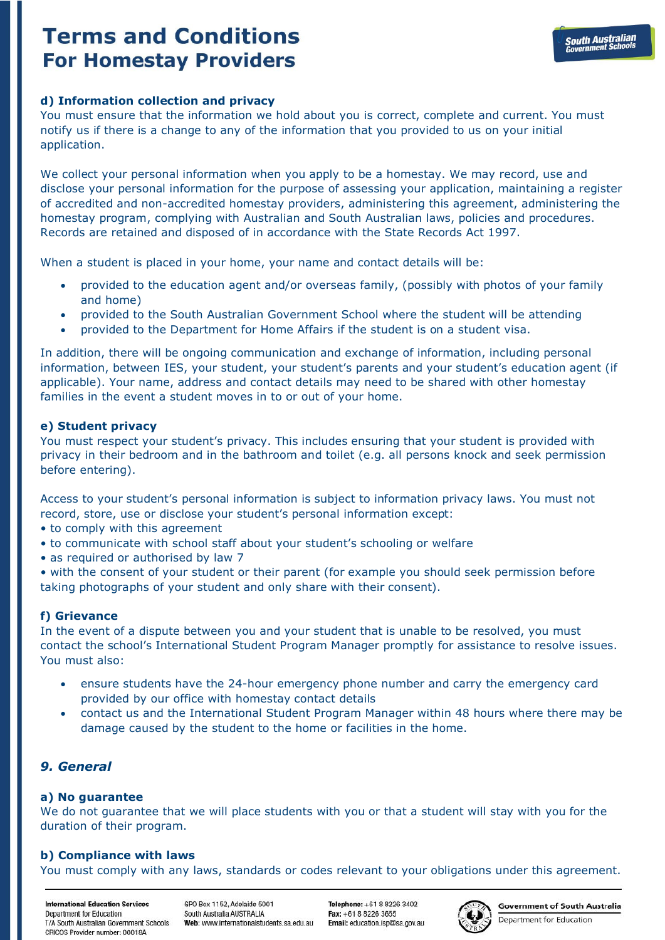## **d) Information collection and privacy**

You must ensure that the information we hold about you is correct, complete and current. You must notify us if there is a change to any of the information that you provided to us on your initial application.

We collect your personal information when you apply to be a homestay. We may record, use and disclose your personal information for the purpose of assessing your application, maintaining a register of accredited and non-accredited homestay providers, administering this agreement, administering the homestay program, complying with Australian and South Australian laws, policies and procedures. Records are retained and disposed of in accordance with the State Records Act 1997.

When a student is placed in your home, your name and contact details will be:

- provided to the education agent and/or overseas family, (possibly with photos of your family and home)
- provided to the South Australian Government School where the student will be attending
- provided to the Department for Home Affairs if the student is on a student visa.

In addition, there will be ongoing communication and exchange of information, including personal information, between IES, your student, your student's parents and your student's education agent (if applicable). Your name, address and contact details may need to be shared with other homestay families in the event a student moves in to or out of your home.

### **e) Student privacy**

You must respect your student's privacy. This includes ensuring that your student is provided with privacy in their bedroom and in the bathroom and toilet (e.g. all persons knock and seek permission before entering).

Access to your student's personal information is subject to information privacy laws. You must not record, store, use or disclose your student's personal information except:

- to comply with this agreement
- to communicate with school staff about your student's schooling or welfare
- as required or authorised by law 7

• with the consent of your student or their parent (for example you should seek permission before taking photographs of your student and only share with their consent).

## **f) Grievance**

In the event of a dispute between you and your student that is unable to be resolved, you must contact the school's International Student Program Manager promptly for assistance to resolve issues. You must also:

- ensure students have the 24-hour emergency phone number and carry the emergency card provided by our office with homestay contact details
- contact us and the International Student Program Manager within 48 hours where there may be damage caused by the student to the home or facilities in the home.

# *9. General*

## **a) No guarantee**

We do not guarantee that we will place students with you or that a student will stay with you for the duration of their program.

## **b) Compliance with laws**

You must comply with any laws, standards or codes relevant to your obligations under this agreement.

**International Education Services** Denartment for Education T/A South Australian Government Schools CRICOS Provider number: 00018A

GPO Box 1152 Adelaide 5001 South Australia AUSTRALIA Web: www.internationalstudents.sa.edu.au

Telenhone: +61 8 8226 3402 Fax: +61.8.8226.3655 Email: education.isp@sa.gov.au



**Government of South Australia** Department for Education